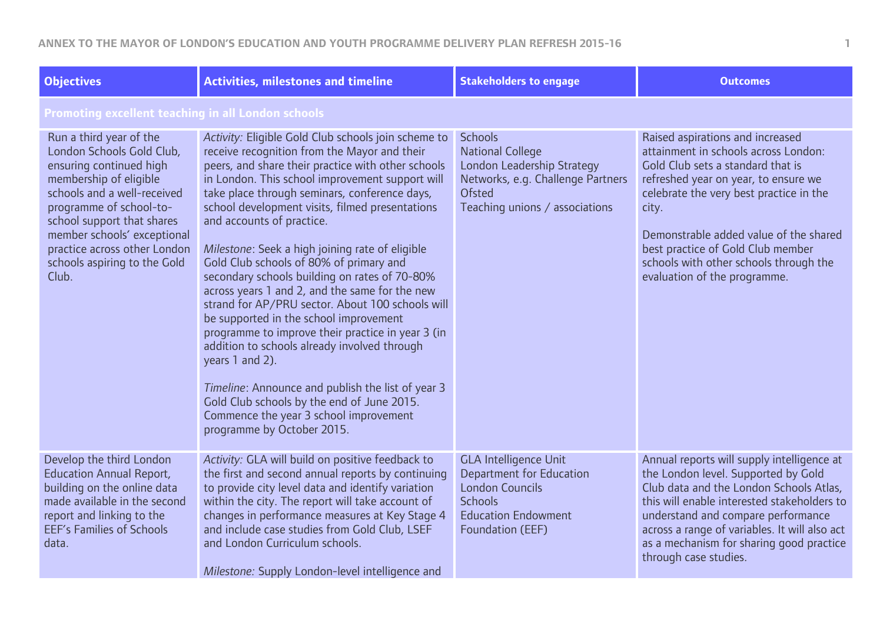| <b>Objectives</b>                                                                                                                                                                                                                                                                                         | <b>Activities, milestones and timeline</b>                                                                                                                                                                                                                                                                                                                                                                                                                                                                                                                                                                                                                                                                                                                                                                                                                                                                                                      | <b>Stakeholders to engage</b>                                                                                                                                   | <b>Outcomes</b>                                                                                                                                                                                                                                                                                                                                                    |  |
|-----------------------------------------------------------------------------------------------------------------------------------------------------------------------------------------------------------------------------------------------------------------------------------------------------------|-------------------------------------------------------------------------------------------------------------------------------------------------------------------------------------------------------------------------------------------------------------------------------------------------------------------------------------------------------------------------------------------------------------------------------------------------------------------------------------------------------------------------------------------------------------------------------------------------------------------------------------------------------------------------------------------------------------------------------------------------------------------------------------------------------------------------------------------------------------------------------------------------------------------------------------------------|-----------------------------------------------------------------------------------------------------------------------------------------------------------------|--------------------------------------------------------------------------------------------------------------------------------------------------------------------------------------------------------------------------------------------------------------------------------------------------------------------------------------------------------------------|--|
| Promoting excellent teaching in all London schools                                                                                                                                                                                                                                                        |                                                                                                                                                                                                                                                                                                                                                                                                                                                                                                                                                                                                                                                                                                                                                                                                                                                                                                                                                 |                                                                                                                                                                 |                                                                                                                                                                                                                                                                                                                                                                    |  |
| Run a third year of the<br>London Schools Gold Club,<br>ensuring continued high<br>membership of eligible<br>schools and a well-received<br>programme of school-to-<br>school support that shares<br>member schools' exceptional<br>practice across other London<br>schools aspiring to the Gold<br>Club. | Activity: Eligible Gold Club schools join scheme to<br>receive recognition from the Mayor and their<br>peers, and share their practice with other schools<br>in London. This school improvement support will<br>take place through seminars, conference days,<br>school development visits, filmed presentations<br>and accounts of practice.<br>Milestone: Seek a high joining rate of eligible<br>Gold Club schools of 80% of primary and<br>secondary schools building on rates of 70-80%<br>across years 1 and 2, and the same for the new<br>strand for AP/PRU sector. About 100 schools will<br>be supported in the school improvement<br>programme to improve their practice in year 3 (in<br>addition to schools already involved through<br>years 1 and 2).<br>Timeline: Announce and publish the list of year 3<br>Gold Club schools by the end of June 2015.<br>Commence the year 3 school improvement<br>programme by October 2015. | <b>Schools</b><br><b>National College</b><br>London Leadership Strategy<br>Networks, e.g. Challenge Partners<br><b>Ofsted</b><br>Teaching unions / associations | Raised aspirations and increased<br>attainment in schools across London:<br>Gold Club sets a standard that is<br>refreshed year on year, to ensure we<br>celebrate the very best practice in the<br>city.<br>Demonstrable added value of the shared<br>best practice of Gold Club member<br>schools with other schools through the<br>evaluation of the programme. |  |
| Develop the third London<br><b>Education Annual Report,</b><br>building on the online data<br>made available in the second<br>report and linking to the<br><b>EEF's Families of Schools</b><br>data.                                                                                                      | Activity: GLA will build on positive feedback to<br>the first and second annual reports by continuing<br>to provide city level data and identify variation<br>within the city. The report will take account of<br>changes in performance measures at Key Stage 4<br>and include case studies from Gold Club, LSEF<br>and London Curriculum schools.<br>Milestone: Supply London-level intelligence and                                                                                                                                                                                                                                                                                                                                                                                                                                                                                                                                          | <b>GLA Intelligence Unit</b><br><b>Department for Education</b><br><b>London Councils</b><br><b>Schools</b><br><b>Education Endowment</b><br>Foundation (EEF)   | Annual reports will supply intelligence at<br>the London level. Supported by Gold<br>Club data and the London Schools Atlas,<br>this will enable interested stakeholders to<br>understand and compare performance<br>across a range of variables. It will also act<br>as a mechanism for sharing good practice<br>through case studies.                            |  |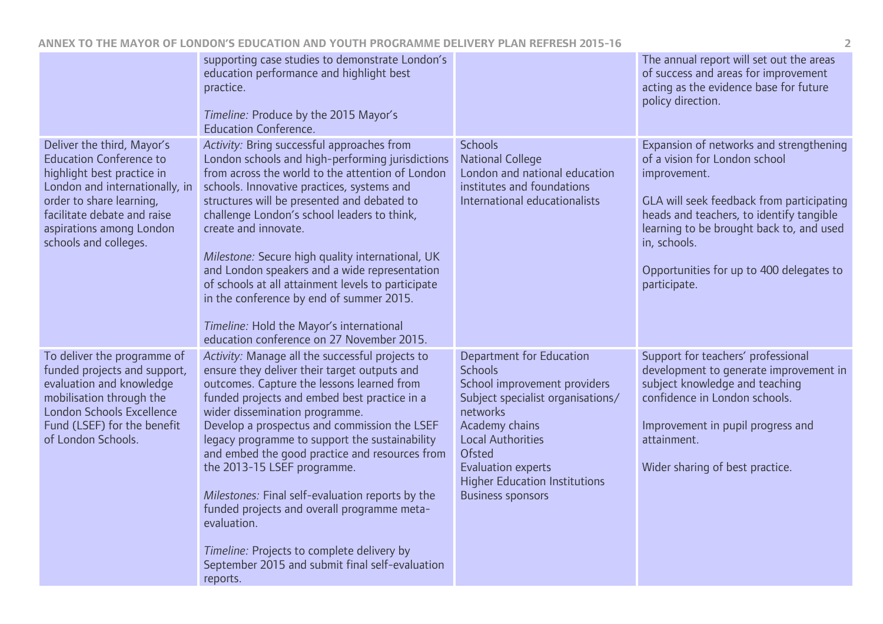|                                                                                                                                                                                                                                              | supporting case studies to demonstrate London's<br>education performance and highlight best<br>practice.<br>Timeline: Produce by the 2015 Mayor's<br><b>Education Conference.</b>                                                                                                                                                                                                                                                                                                                                                                                                                                                                 |                                                                                                                                                                                                                                                                                             | The annual report will set out the areas<br>of success and areas for improvement<br>acting as the evidence base for future<br>policy direction.                                                                                                                                                           |
|----------------------------------------------------------------------------------------------------------------------------------------------------------------------------------------------------------------------------------------------|---------------------------------------------------------------------------------------------------------------------------------------------------------------------------------------------------------------------------------------------------------------------------------------------------------------------------------------------------------------------------------------------------------------------------------------------------------------------------------------------------------------------------------------------------------------------------------------------------------------------------------------------------|---------------------------------------------------------------------------------------------------------------------------------------------------------------------------------------------------------------------------------------------------------------------------------------------|-----------------------------------------------------------------------------------------------------------------------------------------------------------------------------------------------------------------------------------------------------------------------------------------------------------|
| Deliver the third, Mayor's<br><b>Education Conference to</b><br>highlight best practice in<br>London and internationally, in<br>order to share learning,<br>facilitate debate and raise<br>aspirations among London<br>schools and colleges. | Activity: Bring successful approaches from<br>London schools and high-performing jurisdictions<br>from across the world to the attention of London<br>schools. Innovative practices, systems and<br>structures will be presented and debated to<br>challenge London's school leaders to think,<br>create and innovate.<br>Milestone: Secure high quality international, UK<br>and London speakers and a wide representation<br>of schools at all attainment levels to participate<br>in the conference by end of summer 2015.<br>Timeline: Hold the Mayor's international<br>education conference on 27 November 2015.                            | <b>Schools</b><br><b>National College</b><br>London and national education<br>institutes and foundations<br>International educationalists                                                                                                                                                   | Expansion of networks and strengthening<br>of a vision for London school<br>improvement.<br>GLA will seek feedback from participating<br>heads and teachers, to identify tangible<br>learning to be brought back to, and used<br>in, schools.<br>Opportunities for up to 400 delegates to<br>participate. |
| To deliver the programme of<br>funded projects and support,<br>evaluation and knowledge<br>mobilisation through the<br>London Schools Excellence<br>Fund (LSEF) for the benefit<br>of London Schools.                                        | Activity: Manage all the successful projects to<br>ensure they deliver their target outputs and<br>outcomes. Capture the lessons learned from<br>funded projects and embed best practice in a<br>wider dissemination programme.<br>Develop a prospectus and commission the LSEF<br>legacy programme to support the sustainability<br>and embed the good practice and resources from<br>the 2013-15 LSEF programme.<br>Milestones: Final self-evaluation reports by the<br>funded projects and overall programme meta-<br>evaluation.<br>Timeline: Projects to complete delivery by<br>September 2015 and submit final self-evaluation<br>reports. | <b>Department for Education</b><br><b>Schools</b><br>School improvement providers<br>Subject specialist organisations/<br>networks<br>Academy chains<br><b>Local Authorities</b><br><b>Ofsted</b><br>Evaluation experts<br><b>Higher Education Institutions</b><br><b>Business sponsors</b> | Support for teachers' professional<br>development to generate improvement in<br>subject knowledge and teaching<br>confidence in London schools.<br>Improvement in pupil progress and<br>attainment.<br>Wider sharing of best practice.                                                                    |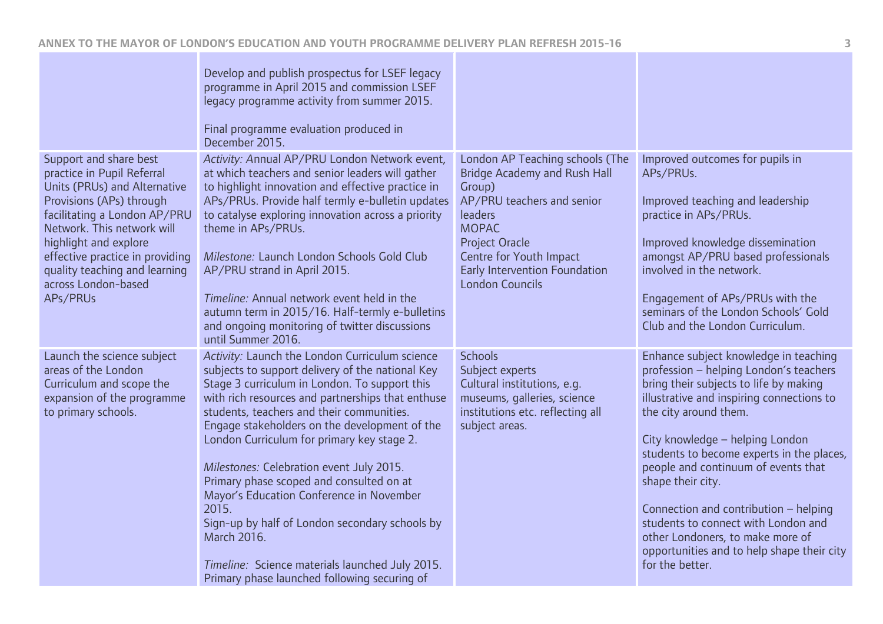|                                                                                                                                                                                                                                                                                                                | Develop and publish prospectus for LSEF legacy<br>programme in April 2015 and commission LSEF<br>legacy programme activity from summer 2015.<br>Final programme evaluation produced in<br>December 2015.                                                                                                                                                                                                                                                                                                                                                                                                                                                              |                                                                                                                                                                                                                                                   |                                                                                                                                                                                                                                                                                                                                                                                                                                                                                                                                  |
|----------------------------------------------------------------------------------------------------------------------------------------------------------------------------------------------------------------------------------------------------------------------------------------------------------------|-----------------------------------------------------------------------------------------------------------------------------------------------------------------------------------------------------------------------------------------------------------------------------------------------------------------------------------------------------------------------------------------------------------------------------------------------------------------------------------------------------------------------------------------------------------------------------------------------------------------------------------------------------------------------|---------------------------------------------------------------------------------------------------------------------------------------------------------------------------------------------------------------------------------------------------|----------------------------------------------------------------------------------------------------------------------------------------------------------------------------------------------------------------------------------------------------------------------------------------------------------------------------------------------------------------------------------------------------------------------------------------------------------------------------------------------------------------------------------|
| Support and share best<br>practice in Pupil Referral<br>Units (PRUs) and Alternative<br>Provisions (APs) through<br>facilitating a London AP/PRU<br>Network. This network will<br>highlight and explore<br>effective practice in providing<br>quality teaching and learning<br>across London-based<br>APs/PRUs | Activity: Annual AP/PRU London Network event,<br>at which teachers and senior leaders will gather<br>to highlight innovation and effective practice in<br>APs/PRUs. Provide half termly e-bulletin updates<br>to catalyse exploring innovation across a priority<br>theme in APs/PRUs.<br>Milestone: Launch London Schools Gold Club<br>AP/PRU strand in April 2015.<br>Timeline: Annual network event held in the<br>autumn term in 2015/16. Half-termly e-bulletins<br>and ongoing monitoring of twitter discussions<br>until Summer 2016.                                                                                                                          | London AP Teaching schools (The<br><b>Bridge Academy and Rush Hall</b><br>Group)<br>AP/PRU teachers and senior<br>leaders<br><b>MOPAC</b><br>Project Oracle<br>Centre for Youth Impact<br>Early Intervention Foundation<br><b>London Councils</b> | Improved outcomes for pupils in<br>APs/PRUs.<br>Improved teaching and leadership<br>practice in APs/PRUs.<br>Improved knowledge dissemination<br>amongst AP/PRU based professionals<br>involved in the network.<br>Engagement of APs/PRUs with the<br>seminars of the London Schools' Gold<br>Club and the London Curriculum.                                                                                                                                                                                                    |
| Launch the science subject<br>areas of the London<br>Curriculum and scope the<br>expansion of the programme<br>to primary schools.                                                                                                                                                                             | Activity: Launch the London Curriculum science<br>subjects to support delivery of the national Key<br>Stage 3 curriculum in London. To support this<br>with rich resources and partnerships that enthuse<br>students, teachers and their communities.<br>Engage stakeholders on the development of the<br>London Curriculum for primary key stage 2.<br>Milestones: Celebration event July 2015.<br>Primary phase scoped and consulted on at<br>Mayor's Education Conference in November<br>2015.<br>Sign-up by half of London secondary schools by<br>March 2016.<br>Timeline: Science materials launched July 2015.<br>Primary phase launched following securing of | <b>Schools</b><br>Subject experts<br>Cultural institutions, e.g.<br>museums, galleries, science<br>institutions etc. reflecting all<br>subject areas.                                                                                             | Enhance subject knowledge in teaching<br>profession - helping London's teachers<br>bring their subjects to life by making<br>illustrative and inspiring connections to<br>the city around them.<br>City knowledge - helping London<br>students to become experts in the places,<br>people and continuum of events that<br>shape their city.<br>Connection and contribution - helping<br>students to connect with London and<br>other Londoners, to make more of<br>opportunities and to help shape their city<br>for the better. |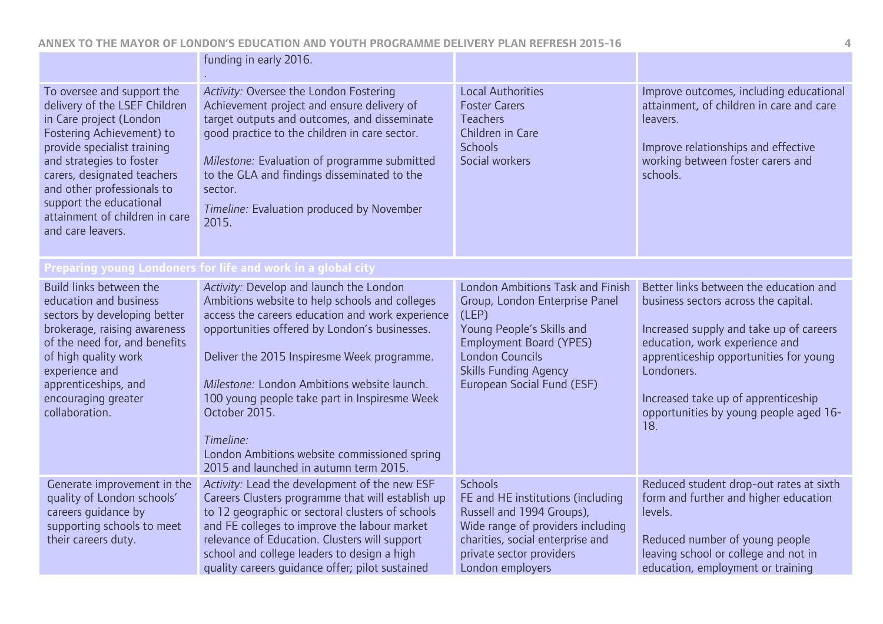|                                                                                                                                                                                                                                                                                                                               | funding in early 2016.                                                                                                                                                                                                                                                                                                                                                                                                                                                |                                                                                                                                                                                                                                           |                                                                                                                                                                                                                                                                                                             |
|-------------------------------------------------------------------------------------------------------------------------------------------------------------------------------------------------------------------------------------------------------------------------------------------------------------------------------|-----------------------------------------------------------------------------------------------------------------------------------------------------------------------------------------------------------------------------------------------------------------------------------------------------------------------------------------------------------------------------------------------------------------------------------------------------------------------|-------------------------------------------------------------------------------------------------------------------------------------------------------------------------------------------------------------------------------------------|-------------------------------------------------------------------------------------------------------------------------------------------------------------------------------------------------------------------------------------------------------------------------------------------------------------|
| To oversee and support the<br>delivery of the LSEF Children<br>in Care project (London<br>Fostering Achievement) to<br>provide specialist training<br>and strategies to foster<br>carers, designated teachers<br>and other professionals to<br>support the educational<br>attainment of children in care<br>and care leavers. | Activity: Oversee the London Fostering<br>Achievement project and ensure delivery of<br>target outputs and outcomes, and disseminate<br>good practice to the children in care sector.<br>Milestone: Evaluation of programme submitted<br>to the GLA and findings disseminated to the<br>sector.<br>Timeline: Evaluation produced by November<br>2015.                                                                                                                 | <b>Local Authorities</b><br><b>Foster Carers</b><br><b>Teachers</b><br>Children in Care<br><b>Schools</b><br>Social workers                                                                                                               | Improve outcomes, including educational<br>attainment, of children in care and care<br>leavers.<br>Improve relationships and effective<br>working between foster carers and<br>schools.                                                                                                                     |
|                                                                                                                                                                                                                                                                                                                               | Preparing young Londoners for life and work in a global city                                                                                                                                                                                                                                                                                                                                                                                                          |                                                                                                                                                                                                                                           |                                                                                                                                                                                                                                                                                                             |
| Build links between the<br>education and business<br>sectors by developing better<br>brokerage, raising awareness<br>of the need for, and benefits<br>of high quality work<br>experience and<br>apprenticeships, and<br>encouraging greater<br>collaboration.                                                                 | Activity: Develop and launch the London<br>Ambitions website to help schools and colleges<br>access the careers education and work experience<br>opportunities offered by London's businesses.<br>Deliver the 2015 Inspiresme Week programme.<br>Milestone: London Ambitions website launch.<br>100 young people take part in Inspiresme Week<br>October 2015.<br>Timeline:<br>London Ambitions website commissioned spring<br>2015 and launched in autumn term 2015. | <b>London Ambitions Task and Finish</b><br>Group, London Enterprise Panel<br>(LEP)<br>Young People's Skills and<br><b>Employment Board (YPES)</b><br><b>London Councils</b><br><b>Skills Funding Agency</b><br>European Social Fund (ESF) | Better links between the education and<br>business sectors across the capital.<br>Increased supply and take up of careers<br>education, work experience and<br>apprenticeship opportunities for young<br>Londoners.<br>Increased take up of apprenticeship<br>opportunities by young people aged 16-<br>18. |
| Generate improvement in the<br>quality of London schools'<br>careers guidance by<br>supporting schools to meet<br>their careers duty.                                                                                                                                                                                         | Activity: Lead the development of the new ESF<br>Careers Clusters programme that will establish up<br>to 12 geographic or sectoral clusters of schools<br>and FE colleges to improve the labour market<br>relevance of Education. Clusters will support<br>school and college leaders to design a high<br>quality careers quidance offer; pilot sustained                                                                                                             | <b>Schools</b><br>FE and HE institutions (including<br>Russell and 1994 Groups),<br>Wide range of providers including<br>charities, social enterprise and<br>private sector providers<br>London employers                                 | Reduced student drop-out rates at sixth<br>form and further and higher education<br>levels.<br>Reduced number of young people<br>leaving school or college and not in<br>education, employment or training                                                                                                  |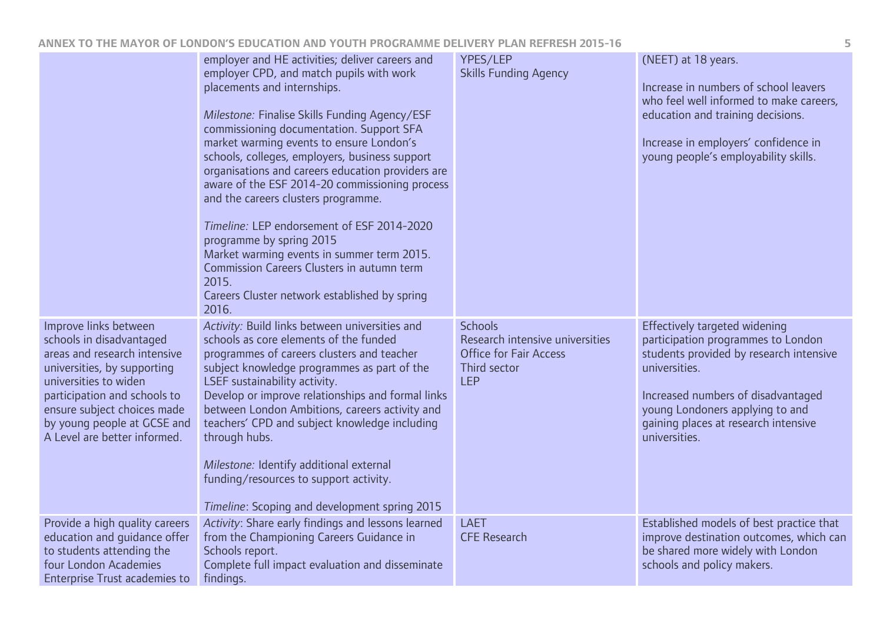|                                                                                                                                                                                                                                                                         | employer and HE activities; deliver careers and<br>employer CPD, and match pupils with work<br>placements and internships.<br>Milestone: Finalise Skills Funding Agency/ESF<br>commissioning documentation. Support SFA<br>market warming events to ensure London's<br>schools, colleges, employers, business support<br>organisations and careers education providers are<br>aware of the ESF 2014-20 commissioning process<br>and the careers clusters programme.<br>Timeline: LEP endorsement of ESF 2014-2020<br>programme by spring 2015<br>Market warming events in summer term 2015.<br>Commission Careers Clusters in autumn term<br>2015.<br>Careers Cluster network established by spring<br>2016. | YPES/LEP<br><b>Skills Funding Agency</b>                                                                         | (NEET) at 18 years.<br>Increase in numbers of school leavers<br>who feel well informed to make careers,<br>education and training decisions.<br>Increase in employers' confidence in<br>young people's employability skills.                                      |
|-------------------------------------------------------------------------------------------------------------------------------------------------------------------------------------------------------------------------------------------------------------------------|--------------------------------------------------------------------------------------------------------------------------------------------------------------------------------------------------------------------------------------------------------------------------------------------------------------------------------------------------------------------------------------------------------------------------------------------------------------------------------------------------------------------------------------------------------------------------------------------------------------------------------------------------------------------------------------------------------------|------------------------------------------------------------------------------------------------------------------|-------------------------------------------------------------------------------------------------------------------------------------------------------------------------------------------------------------------------------------------------------------------|
| Improve links between<br>schools in disadvantaged<br>areas and research intensive<br>universities, by supporting<br>universities to widen<br>participation and schools to<br>ensure subject choices made<br>by young people at GCSE and<br>A Level are better informed. | Activity: Build links between universities and<br>schools as core elements of the funded<br>programmes of careers clusters and teacher<br>subject knowledge programmes as part of the<br>LSEF sustainability activity.<br>Develop or improve relationships and formal links<br>between London Ambitions, careers activity and<br>teachers' CPD and subject knowledge including<br>through hubs.<br>Milestone: Identify additional external<br>funding/resources to support activity.<br>Timeline: Scoping and development spring 2015                                                                                                                                                                        | <b>Schools</b><br>Research intensive universities<br><b>Office for Fair Access</b><br>Third sector<br><b>LEP</b> | Effectively targeted widening<br>participation programmes to London<br>students provided by research intensive<br>universities.<br>Increased numbers of disadvantaged<br>young Londoners applying to and<br>gaining places at research intensive<br>universities. |
| Provide a high quality careers<br>education and quidance offer<br>to students attending the<br>four London Academies<br><b>Enterprise Trust academies to</b>                                                                                                            | Activity: Share early findings and lessons learned<br>from the Championing Careers Guidance in<br>Schools report.<br>Complete full impact evaluation and disseminate<br>findings.                                                                                                                                                                                                                                                                                                                                                                                                                                                                                                                            | <b>LAET</b><br><b>CFE Research</b>                                                                               | Established models of best practice that<br>improve destination outcomes, which can<br>be shared more widely with London<br>schools and policy makers.                                                                                                            |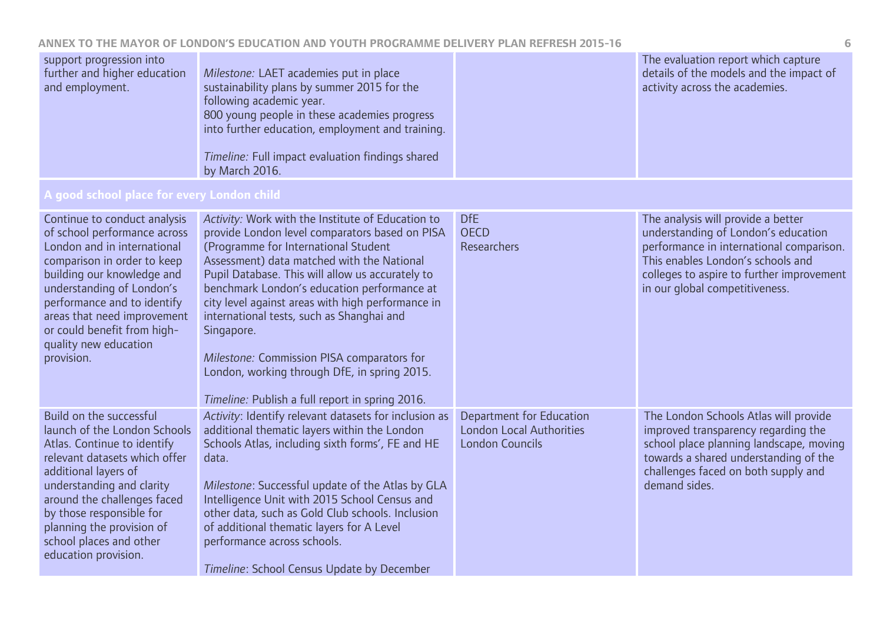## **ANNEX TO THE MAYOR OF LONDON'S EDUCATION AND YOUTH PROGRAMME DELIVERY PLAN REFRESH 2015-16 6**

| The evaluation report which capture     |
|-----------------------------------------|
| details of the models and the impact of |
| activity across the academies.          |
|                                         |
|                                         |
|                                         |
|                                         |
|                                         |
|                                         |
|                                         |

| Continue to conduct analysis<br>of school performance across<br>London and in international<br>comparison in order to keep<br>building our knowledge and<br>understanding of London's<br>performance and to identify<br>areas that need improvement<br>or could benefit from high-<br>quality new education<br>provision. | Activity: Work with the Institute of Education to<br>provide London level comparators based on PISA<br>(Programme for International Student<br>Assessment) data matched with the National<br>Pupil Database. This will allow us accurately to<br>benchmark London's education performance at<br>city level against areas with high performance in<br>international tests, such as Shanghai and<br>Singapore.<br>Milestone: Commission PISA comparators for<br>London, working through DfE, in spring 2015.<br>Timeline: Publish a full report in spring 2016. | <b>DfE</b><br><b>OECD</b><br><b>Researchers</b>                                              | The analysis will provide a better<br>understanding of London's education<br>performance in international comparison.<br>This enables London's schools and<br>colleges to aspire to further improvement<br>in our global competitiveness. |
|---------------------------------------------------------------------------------------------------------------------------------------------------------------------------------------------------------------------------------------------------------------------------------------------------------------------------|---------------------------------------------------------------------------------------------------------------------------------------------------------------------------------------------------------------------------------------------------------------------------------------------------------------------------------------------------------------------------------------------------------------------------------------------------------------------------------------------------------------------------------------------------------------|----------------------------------------------------------------------------------------------|-------------------------------------------------------------------------------------------------------------------------------------------------------------------------------------------------------------------------------------------|
| Build on the successful<br>launch of the London Schools<br>Atlas. Continue to identify<br>relevant datasets which offer<br>additional layers of<br>understanding and clarity<br>around the challenges faced<br>by those responsible for<br>planning the provision of<br>school places and other<br>education provision.   | Activity: Identify relevant datasets for inclusion as<br>additional thematic layers within the London<br>Schools Atlas, including sixth forms', FE and HE<br>data.<br>Milestone: Successful update of the Atlas by GLA<br>Intelligence Unit with 2015 School Census and<br>other data, such as Gold Club schools. Inclusion<br>of additional thematic layers for A Level<br>performance across schools.<br>Timeline: School Census Update by December                                                                                                         | <b>Department for Education</b><br><b>London Local Authorities</b><br><b>London Councils</b> | The London Schools Atlas will provide<br>improved transparency regarding the<br>school place planning landscape, moving<br>towards a shared understanding of the<br>challenges faced on both supply and<br>demand sides.                  |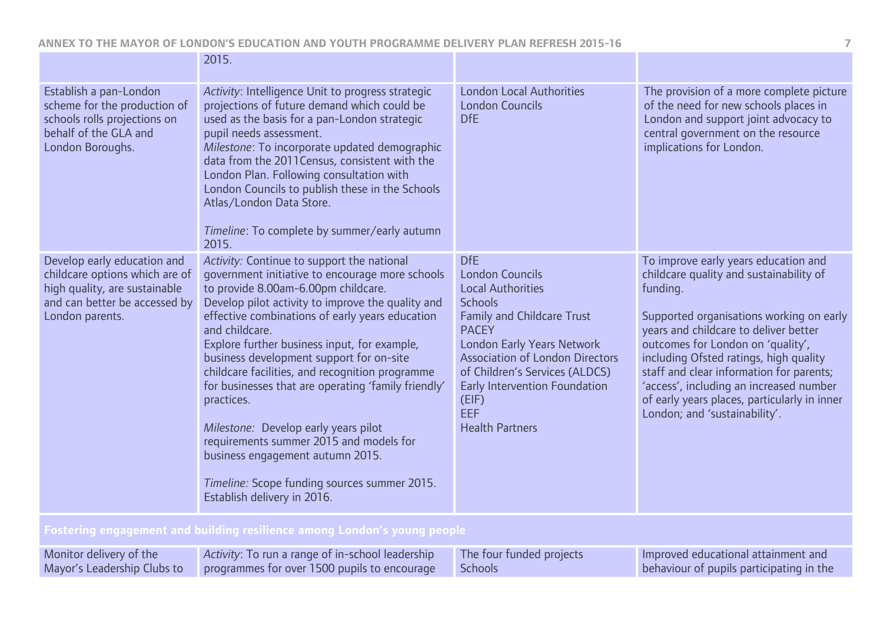|                                                                                                                                                    | 2015.                                                                                                                                                                                                                                                                                                                                                                                                                                                                                                                                                                                                                                                                                    |                                                                                                                                                                                                                                                                                                                                     |                                                                                                                                                                                                                                                                                                                                                                                                                                         |  |
|----------------------------------------------------------------------------------------------------------------------------------------------------|------------------------------------------------------------------------------------------------------------------------------------------------------------------------------------------------------------------------------------------------------------------------------------------------------------------------------------------------------------------------------------------------------------------------------------------------------------------------------------------------------------------------------------------------------------------------------------------------------------------------------------------------------------------------------------------|-------------------------------------------------------------------------------------------------------------------------------------------------------------------------------------------------------------------------------------------------------------------------------------------------------------------------------------|-----------------------------------------------------------------------------------------------------------------------------------------------------------------------------------------------------------------------------------------------------------------------------------------------------------------------------------------------------------------------------------------------------------------------------------------|--|
| Establish a pan-London<br>scheme for the production of<br>schools rolls projections on<br>behalf of the GLA and<br>London Boroughs.                | Activity: Intelligence Unit to progress strategic<br>projections of future demand which could be<br>used as the basis for a pan-London strategic<br>pupil needs assessment.<br>Milestone: To incorporate updated demographic<br>data from the 2011 Census, consistent with the<br>London Plan. Following consultation with<br>London Councils to publish these in the Schools<br>Atlas/London Data Store.<br>Timeline: To complete by summer/early autumn<br>2015.                                                                                                                                                                                                                       | <b>London Local Authorities</b><br><b>London Councils</b><br><b>DfE</b>                                                                                                                                                                                                                                                             | The provision of a more complete picture<br>of the need for new schools places in<br>London and support joint advocacy to<br>central government on the resource<br>implications for London.                                                                                                                                                                                                                                             |  |
| Develop early education and<br>childcare options which are of<br>high quality, are sustainable<br>and can better be accessed by<br>London parents. | Activity: Continue to support the national<br>government initiative to encourage more schools<br>to provide 8.00am-6.00pm childcare.<br>Develop pilot activity to improve the quality and<br>effective combinations of early years education<br>and childcare.<br>Explore further business input, for example,<br>business development support for on-site<br>childcare facilities, and recognition programme<br>for businesses that are operating 'family friendly'<br>practices.<br>Milestone: Develop early years pilot<br>requirements summer 2015 and models for<br>business engagement autumn 2015.<br>Timeline: Scope funding sources summer 2015.<br>Establish delivery in 2016. | <b>DfE</b><br><b>London Councils</b><br><b>Local Authorities</b><br><b>Schools</b><br><b>Family and Childcare Trust</b><br><b>PACEY</b><br><b>London Early Years Network</b><br><b>Association of London Directors</b><br>of Children's Services (ALDCS)<br>Early Intervention Foundation<br>(EIF)<br>EEF<br><b>Health Partners</b> | To improve early years education and<br>childcare quality and sustainability of<br>funding.<br>Supported organisations working on early<br>years and childcare to deliver better<br>outcomes for London on 'quality',<br>including Ofsted ratings, high quality<br>staff and clear information for parents;<br>'access', including an increased number<br>of early years places, particularly in inner<br>London; and 'sustainability'. |  |
| Fostering engagement and building resilience among London's young people                                                                           |                                                                                                                                                                                                                                                                                                                                                                                                                                                                                                                                                                                                                                                                                          |                                                                                                                                                                                                                                                                                                                                     |                                                                                                                                                                                                                                                                                                                                                                                                                                         |  |

| Monitor delivery of the | Activity: To run a range of in-school leadership                         | The four funded projects | Improved educational attainment and      |
|-------------------------|--------------------------------------------------------------------------|--------------------------|------------------------------------------|
|                         | Mayor's Leadership Clubs to programmes for over 1500 pupils to encourage | Schools                  | behaviour of pupils participating in the |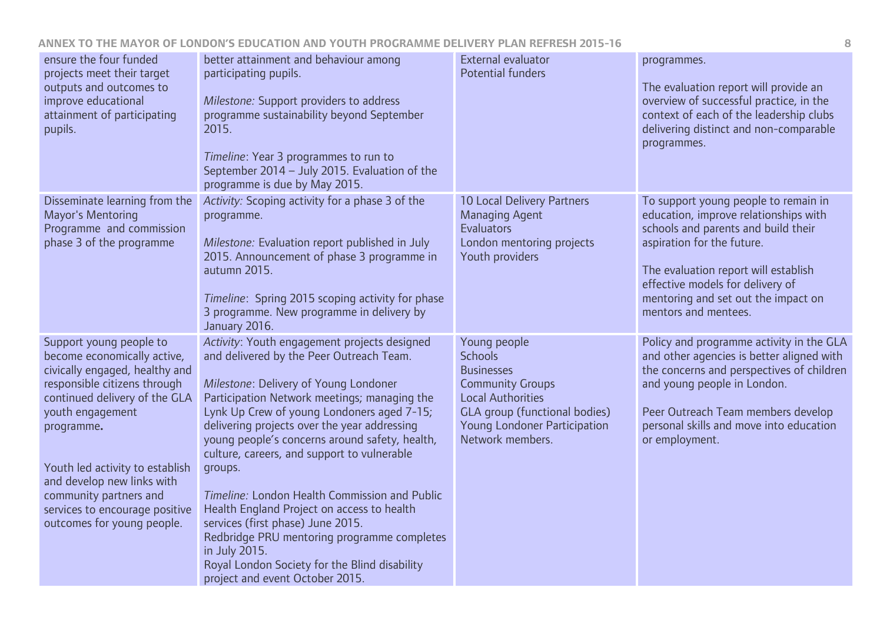| ensure the four funded<br>projects meet their target<br>outputs and outcomes to<br>improve educational<br>attainment of participating<br>pupils.                                                                                                                                                                                                       | better attainment and behaviour among<br>participating pupils.<br>Milestone: Support providers to address<br>programme sustainability beyond September<br>2015.<br>Timeline: Year 3 programmes to run to<br>September 2014 - July 2015. Evaluation of the<br>programme is due by May 2015.                                                                                                                                                                                                                                                                                                                                                                                          | External evaluator<br><b>Potential funders</b>                                                                                                                                                         | programmes.<br>The evaluation report will provide an<br>overview of successful practice, in the<br>context of each of the leadership clubs<br>delivering distinct and non-comparable<br>programmes.                                                                                           |
|--------------------------------------------------------------------------------------------------------------------------------------------------------------------------------------------------------------------------------------------------------------------------------------------------------------------------------------------------------|-------------------------------------------------------------------------------------------------------------------------------------------------------------------------------------------------------------------------------------------------------------------------------------------------------------------------------------------------------------------------------------------------------------------------------------------------------------------------------------------------------------------------------------------------------------------------------------------------------------------------------------------------------------------------------------|--------------------------------------------------------------------------------------------------------------------------------------------------------------------------------------------------------|-----------------------------------------------------------------------------------------------------------------------------------------------------------------------------------------------------------------------------------------------------------------------------------------------|
| Disseminate learning from the<br>Mayor's Mentoring<br>Programme and commission<br>phase 3 of the programme                                                                                                                                                                                                                                             | Activity: Scoping activity for a phase 3 of the<br>programme.<br>Milestone: Evaluation report published in July<br>2015. Announcement of phase 3 programme in<br>autumn 2015.<br>Timeline: Spring 2015 scoping activity for phase<br>3 programme. New programme in delivery by<br>January 2016.                                                                                                                                                                                                                                                                                                                                                                                     | <b>10 Local Delivery Partners</b><br><b>Managing Agent</b><br><b>Evaluators</b><br>London mentoring projects<br>Youth providers                                                                        | To support young people to remain in<br>education, improve relationships with<br>schools and parents and build their<br>aspiration for the future.<br>The evaluation report will establish<br>effective models for delivery of<br>mentoring and set out the impact on<br>mentors and mentees. |
| Support young people to<br>become economically active,<br>civically engaged, healthy and<br>responsible citizens through<br>continued delivery of the GLA<br>youth engagement<br>programme.<br>Youth led activity to establish<br>and develop new links with<br>community partners and<br>services to encourage positive<br>outcomes for young people. | Activity: Youth engagement projects designed<br>and delivered by the Peer Outreach Team.<br>Milestone: Delivery of Young Londoner<br>Participation Network meetings; managing the<br>Lynk Up Crew of young Londoners aged 7-15;<br>delivering projects over the year addressing<br>young people's concerns around safety, health,<br>culture, careers, and support to vulnerable<br>groups.<br>Timeline: London Health Commission and Public<br>Health England Project on access to health<br>services (first phase) June 2015.<br>Redbridge PRU mentoring programme completes<br>in July 2015.<br>Royal London Society for the Blind disability<br>project and event October 2015. | Young people<br><b>Schools</b><br><b>Businesses</b><br><b>Community Groups</b><br><b>Local Authorities</b><br><b>GLA</b> group (functional bodies)<br>Young Londoner Participation<br>Network members. | Policy and programme activity in the GLA<br>and other agencies is better aligned with<br>the concerns and perspectives of children<br>and young people in London.<br>Peer Outreach Team members develop<br>personal skills and move into education<br>or employment.                          |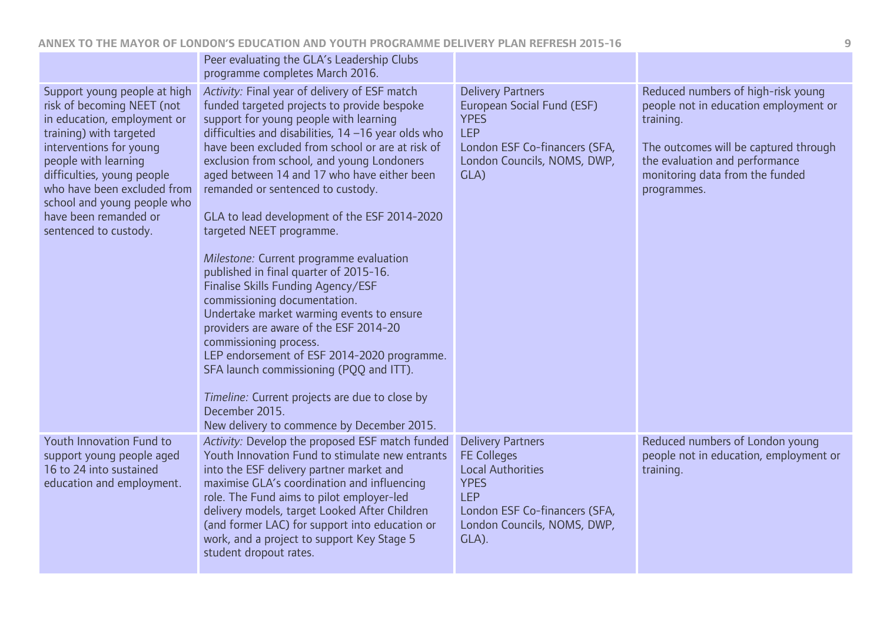|                                                                                                                                                                                                                                                                                                                       | Peer evaluating the GLA's Leadership Clubs<br>programme completes March 2016.                                                                                                                                                                                                                                                                                                                                                                                                                                                                                                                                                                                                                                                                                                                                                                                                                                                                              |                                                                                                                                                                                  |                                                                                                                                                                                                                       |
|-----------------------------------------------------------------------------------------------------------------------------------------------------------------------------------------------------------------------------------------------------------------------------------------------------------------------|------------------------------------------------------------------------------------------------------------------------------------------------------------------------------------------------------------------------------------------------------------------------------------------------------------------------------------------------------------------------------------------------------------------------------------------------------------------------------------------------------------------------------------------------------------------------------------------------------------------------------------------------------------------------------------------------------------------------------------------------------------------------------------------------------------------------------------------------------------------------------------------------------------------------------------------------------------|----------------------------------------------------------------------------------------------------------------------------------------------------------------------------------|-----------------------------------------------------------------------------------------------------------------------------------------------------------------------------------------------------------------------|
| Support young people at high<br>risk of becoming NEET (not<br>in education, employment or<br>training) with targeted<br>interventions for young<br>people with learning<br>difficulties, young people<br>who have been excluded from<br>school and young people who<br>have been remanded or<br>sentenced to custody. | Activity: Final year of delivery of ESF match<br>funded targeted projects to provide bespoke<br>support for young people with learning<br>difficulties and disabilities, $14 - 16$ year olds who<br>have been excluded from school or are at risk of<br>exclusion from school, and young Londoners<br>aged between 14 and 17 who have either been<br>remanded or sentenced to custody.<br>GLA to lead development of the ESF 2014-2020<br>targeted NEET programme.<br>Milestone: Current programme evaluation<br>published in final quarter of 2015-16.<br>Finalise Skills Funding Agency/ESF<br>commissioning documentation.<br>Undertake market warming events to ensure<br>providers are aware of the ESF 2014-20<br>commissioning process.<br>LEP endorsement of ESF 2014-2020 programme.<br>SFA launch commissioning (PQQ and ITT).<br>Timeline: Current projects are due to close by<br>December 2015.<br>New delivery to commence by December 2015. | <b>Delivery Partners</b><br>European Social Fund (ESF)<br><b>YPES</b><br><b>LEP</b><br>London ESF Co-financers (SFA,<br>London Councils, NOMS, DWP,<br>GLA)                      | Reduced numbers of high-risk young<br>people not in education employment or<br>training.<br>The outcomes will be captured through<br>the evaluation and performance<br>monitoring data from the funded<br>programmes. |
| Youth Innovation Fund to<br>support young people aged<br>16 to 24 into sustained<br>education and employment.                                                                                                                                                                                                         | Activity: Develop the proposed ESF match funded<br>Youth Innovation Fund to stimulate new entrants<br>into the ESF delivery partner market and<br>maximise GLA's coordination and influencing<br>role. The Fund aims to pilot employer-led<br>delivery models, target Looked After Children<br>(and former LAC) for support into education or<br>work, and a project to support Key Stage 5<br>student dropout rates.                                                                                                                                                                                                                                                                                                                                                                                                                                                                                                                                      | <b>Delivery Partners</b><br><b>FE Colleges</b><br><b>Local Authorities</b><br><b>YPES</b><br><b>LEP</b><br>London ESF Co-financers (SFA,<br>London Councils, NOMS, DWP,<br>GLA). | Reduced numbers of London young<br>people not in education, employment or<br>training.                                                                                                                                |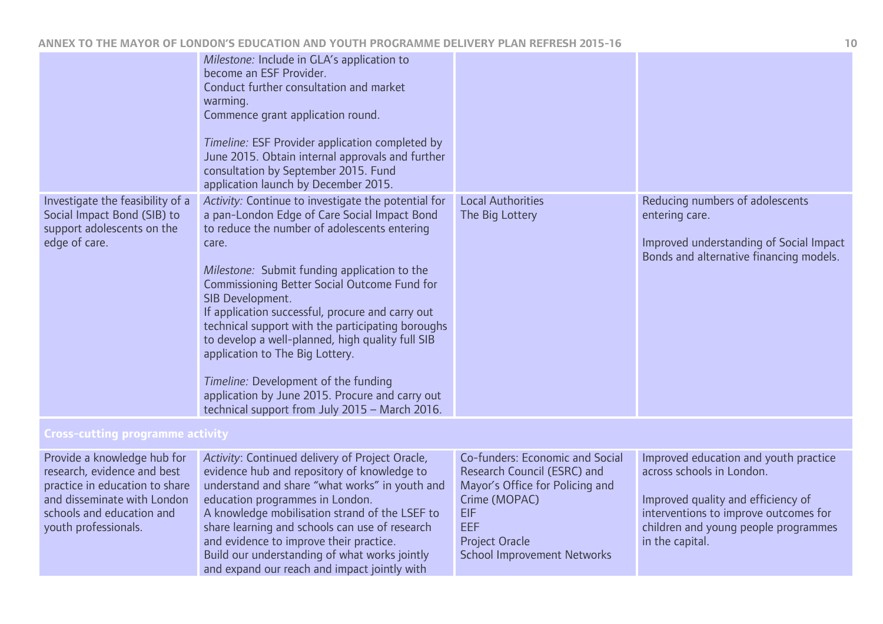|                                                                                                                                                                                  | Milestone: Include in GLA's application to<br>become an ESF Provider.<br>Conduct further consultation and market<br>warming.<br>Commence grant application round.<br>Timeline: ESF Provider application completed by<br>June 2015. Obtain internal approvals and further<br>consultation by September 2015. Fund<br>application launch by December 2015.                                                                                                                                                                                                                                                                      |                                                                                                                                                                                                 |                                                                                                                                                                                                              |
|----------------------------------------------------------------------------------------------------------------------------------------------------------------------------------|-------------------------------------------------------------------------------------------------------------------------------------------------------------------------------------------------------------------------------------------------------------------------------------------------------------------------------------------------------------------------------------------------------------------------------------------------------------------------------------------------------------------------------------------------------------------------------------------------------------------------------|-------------------------------------------------------------------------------------------------------------------------------------------------------------------------------------------------|--------------------------------------------------------------------------------------------------------------------------------------------------------------------------------------------------------------|
| Investigate the feasibility of a<br>Social Impact Bond (SIB) to<br>support adolescents on the<br>edge of care.                                                                   | Activity: Continue to investigate the potential for<br>a pan-London Edge of Care Social Impact Bond<br>to reduce the number of adolescents entering<br>care.<br>Milestone: Submit funding application to the<br>Commissioning Better Social Outcome Fund for<br>SIB Development.<br>If application successful, procure and carry out<br>technical support with the participating boroughs<br>to develop a well-planned, high quality full SIB<br>application to The Big Lottery.<br>Timeline: Development of the funding<br>application by June 2015. Procure and carry out<br>technical support from July 2015 - March 2016. | <b>Local Authorities</b><br>The Big Lottery                                                                                                                                                     | Reducing numbers of adolescents<br>entering care.<br>Improved understanding of Social Impact<br>Bonds and alternative financing models.                                                                      |
| Cross-cutting programme activity                                                                                                                                                 |                                                                                                                                                                                                                                                                                                                                                                                                                                                                                                                                                                                                                               |                                                                                                                                                                                                 |                                                                                                                                                                                                              |
| Provide a knowledge hub for<br>research, evidence and best<br>practice in education to share<br>and disseminate with London<br>schools and education and<br>youth professionals. | Activity: Continued delivery of Project Oracle,<br>evidence hub and repository of knowledge to<br>understand and share "what works" in youth and<br>education programmes in London.<br>A knowledge mobilisation strand of the LSEF to<br>share learning and schools can use of research<br>and evidence to improve their practice.<br>Build our understanding of what works jointly<br>and expand our reach and impact jointly with                                                                                                                                                                                           | Co-funders: Economic and Social<br>Research Council (ESRC) and<br>Mayor's Office for Policing and<br>Crime (MOPAC)<br>EIF<br><b>EEF</b><br>Project Oracle<br><b>School Improvement Networks</b> | Improved education and youth practice<br>across schools in London.<br>Improved quality and efficiency of<br>interventions to improve outcomes for<br>children and young people programmes<br>in the capital. |